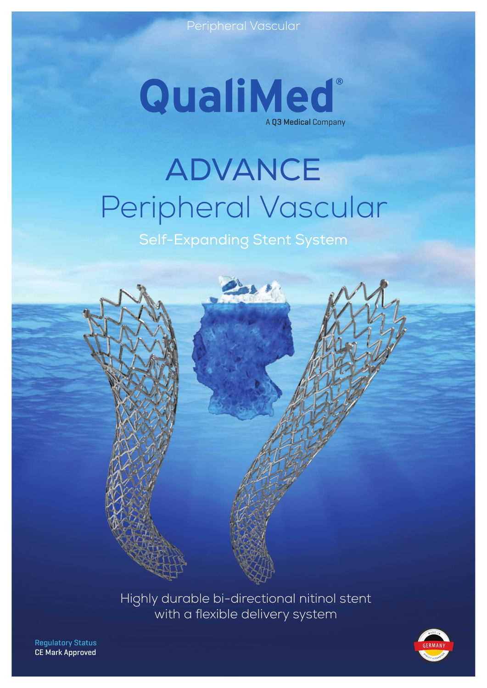

# ADVANCE Peripheral Vascular

Self-Expanding Stent System



Highly durable bi-directional nitinol stent with a flexible delivery system



Regulatory Status CE Mark Approved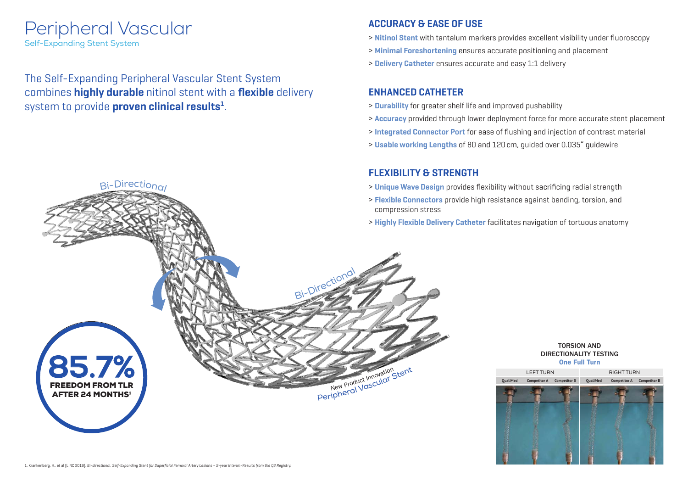The Self-Expanding Peripheral Vascular Stent System combines **highly durable** nitinol stent with a **flexible** delivery system to provide **proven clinical results1** .

## **ACCURACY & EASE OF USE**

- > **Nitinol Stent** with tantalum markers provides excellent visibility under fluoroscopy
- > **Minimal Foreshortening** ensures accurate positioning and placement
- > **Delivery Catheter** ensures accurate and easy 1:1 delivery

## **FLEXIBILITY & STRENGTH**

- > **Unique Wave Design** provides flexibility without sacrificing radial strength
- > **Flexible Connectors** provide high resistance against bending, torsion, and compression stress
- > **Highly Flexible Delivery Catheter** facilitates navigation of tortuous anatomy



## **ENHANCED CATHETER**

- > **Durability** for greater shelf life and improved pushability
- > **Accuracy** provided through lower deployment force for more accurate stent placement
- > **Integrated Connector Port** for ease of flushing and injection of contrast material
- > **Usable working Lengths** of 80 and 120cm, guided over 0.035" guidewire



### TORSION AND DIRECTIONALITY TESTING One Full Turn

# Peripheral Vascular

 $Bi-Direction<sub>Q</sub>$ 

Self-Expanding Stent System